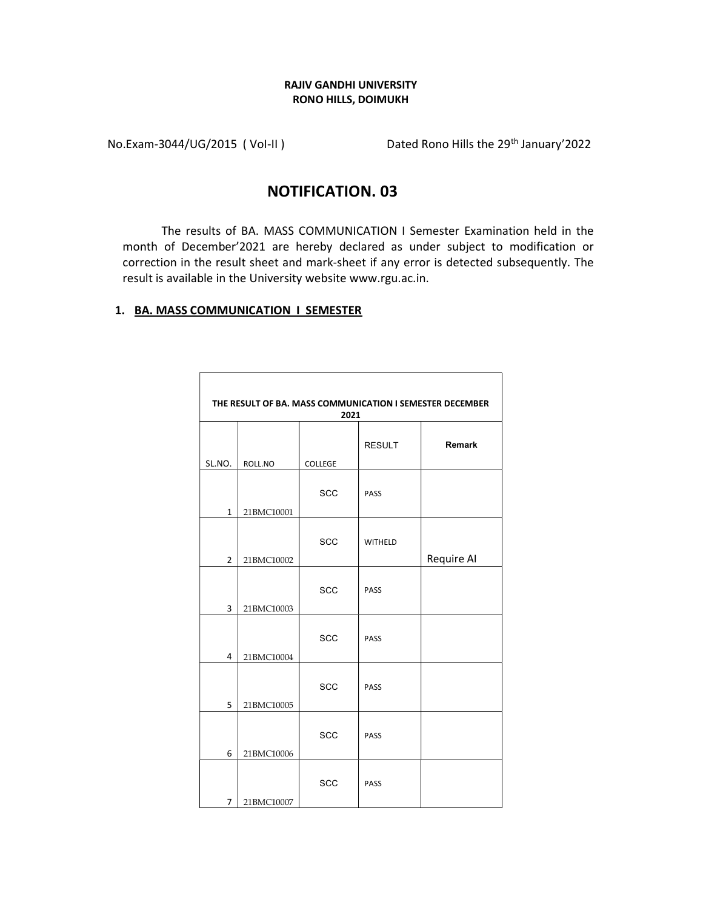## RAJIV GANDHI UNIVERSITY RONO HILLS, DOIMUKH

No.Exam-3044/UG/2015 (Vol-II) Dated Rono Hills the 29<sup>th</sup> January'2022

## NOTIFICATION. 03

The results of BA. MASS COMMUNICATION I Semester Examination held in the month of December'2021 are hereby declared as under subject to modification or correction in the result sheet and mark-sheet if any error is detected subsequently. The result is available in the University website www.rgu.ac.in.

## 1. BA. MASS COMMUNICATION I SEMESTER

| THE RESULT OF BA. MASS COMMUNICATION I SEMESTER DECEMBER<br>2021 |            |                |                |            |  |  |
|------------------------------------------------------------------|------------|----------------|----------------|------------|--|--|
| SL.NO.                                                           | ROLL.NO    | <b>COLLEGE</b> | <b>RESULT</b>  | Remark     |  |  |
| 1                                                                | 21BMC10001 | <b>SCC</b>     | PASS           |            |  |  |
| $\overline{2}$                                                   | 21BMC10002 | <b>SCC</b>     | <b>WITHELD</b> | Require AI |  |  |
| 3                                                                | 21BMC10003 | <b>SCC</b>     | PASS           |            |  |  |
| 4                                                                | 21BMC10004 | <b>SCC</b>     | PASS           |            |  |  |
| 5                                                                | 21BMC10005 | <b>SCC</b>     | PASS           |            |  |  |
| 6                                                                | 21BMC10006 | <b>SCC</b>     | PASS           |            |  |  |
| 7                                                                | 21BMC10007 | SCC            | PASS           |            |  |  |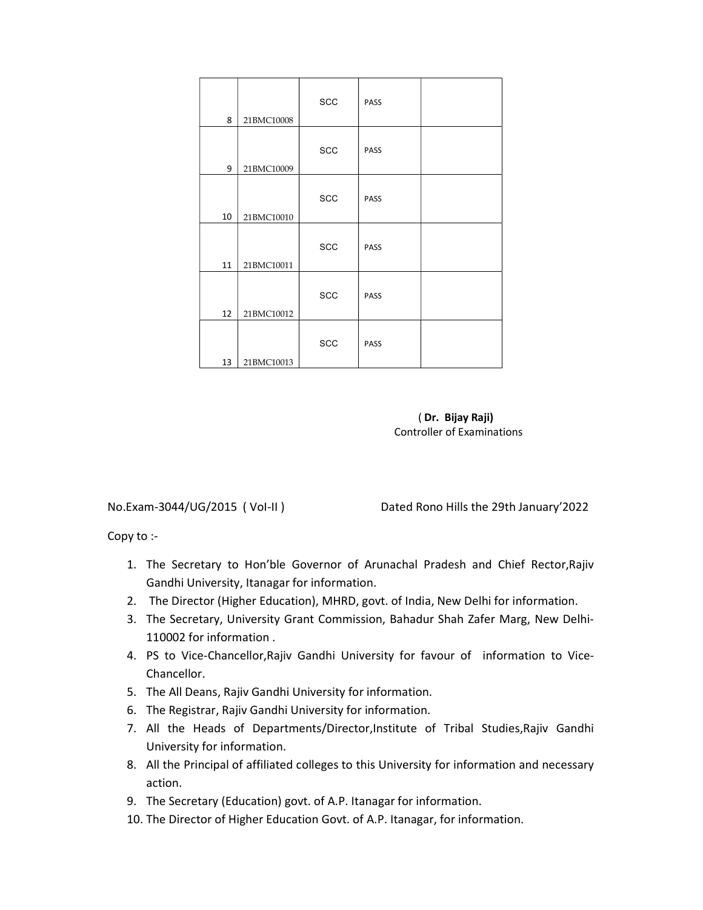| 8  | 21BMC10008 | SCC        | PASS |  |
|----|------------|------------|------|--|
| 9  | 21BMC10009 | SCC        | PASS |  |
| 10 | 21BMC10010 | SCC        | PASS |  |
| 11 | 21BMC10011 | <b>SCC</b> | PASS |  |
| 12 | 21BMC10012 | <b>SCC</b> | PASS |  |
| 13 | 21BMC10013 | <b>SCC</b> | PASS |  |

( Dr. Bijay Raji) Controller of Examinations

No.Exam-3044/UG/2015 ( VoI-II ) Dated Rono Hills the 29th January'2022

Copy to :-

- 1. The Secretary to Hon'ble Governor of Arunachal Pradesh and Chief Rector,Rajiv Gandhi University, Itanagar for information.
- 2. The Director (Higher Education), MHRD, govt. of India, New Delhi for information.
- 3. The Secretary, University Grant Commission, Bahadur Shah Zafer Marg, New Delhi-110002 for information .
- 4. PS to Vice-Chancellor,Rajiv Gandhi University for favour of information to Vice-Chancellor.
- 5. The All Deans, Rajiv Gandhi University for information.
- 6. The Registrar, Rajiv Gandhi University for information.
- 7. All the Heads of Departments/Director,Institute of Tribal Studies,Rajiv Gandhi University for information.
- 8. All the Principal of affiliated colleges to this University for information and necessary action.
- 9. The Secretary (Education) govt. of A.P. Itanagar for information.
- 10. The Director of Higher Education Govt. of A.P. Itanagar, for information.